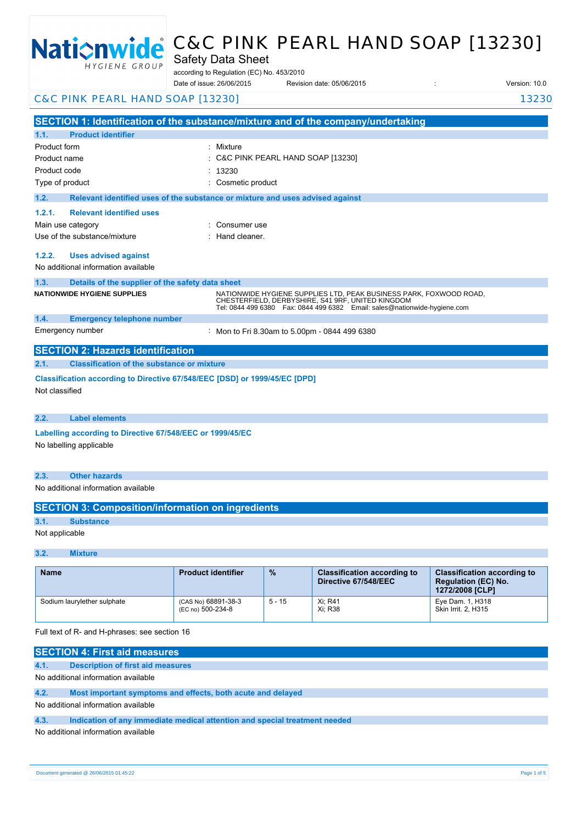

# C&C PINK PEARL HAND SOAP [13230]

Safety Data Sheet

according to Regulation (EC) No. 453/2010

Date of issue: Revision date: 05/06/2015 : Version: 10.0 26/06/2015

C&C PINK PEARL HAND SOAP [13230] 13230 13230

**SECTION 1: Identification of the substance/mixture and of the company/undertaking 1.1. Product identifier** Product form : Nixture : Mixture Product name Product code : Type of product in the contract of the cosmetic product in the cosmetic product **1.2. Relevant identified uses of the substance or mixture and uses advised against 1.2.1. Relevant identified uses** Main use category **Example 20** and 20 and 20 and 20 and 20 and 20 and 20 and 20 and 20 and 20 and 20 and 20 and 20 and 20 and 20 and 20 and 20 and 20 and 20 and 20 and 20 and 20 and 20 and 20 and 20 and 20 and 20 and 20 an Use of the substance/mixture in the substance in the set of the substance of the substance in the set of the s **1.2.2. Uses advised against** No additional information available **1.3. Details of the supplier of the safety data sheet 1.4. Emergency telephone number** Emergency number **SECTION 2: Hazards identification 2.1. Classification of the substance or mixture Classification according to Directive 67/548/EEC [DSD] or 1999/45/EC [DPD]** Not classified **2.2. Label elements Labelling according to Directive 67/548/EEC or 1999/45/EC** No labelling applicable **2.3. Other hazards** No additional information available **SECTION 3: Composition/information on ingredients 3.1. Substance** C&C PINK PEARL HAND SOAP [13230]  $.13230$ **NATIONWIDE HYGIENE SUPPLIES** NATIONWIDE HYGIENE SUPPLIES LTD, PEAK BUSINESS PARK, FOXWOOD ROAD, CHESTERFIELD, DERBYSHIRE, S41 9RF, UNITED KINGDOM Tel: 0844 499 6380 Fax: 0844 499 6382 Email: sales@nationwide-hygiene.com Mon to Fri 8.30am to 5.00pm - 0844 499 6380

Not applicable

#### **3.2. Mixture**

| <b>Name</b>                 | <b>Product identifier</b>                | $\frac{9}{6}$ | <b>Classification according to</b><br>Directive 67/548/EEC | <b>Classification according to</b><br><b>Regulation (EC) No.</b><br>1272/2008 [CLP] |
|-----------------------------|------------------------------------------|---------------|------------------------------------------------------------|-------------------------------------------------------------------------------------|
| Sodium laurylether sulphate | (CAS No) 68891-38-3<br>(EC no) 500-234-8 | $5 - 15$      | Xi; R41<br>Xi: R38                                         | Eye Dam. 1, H318<br>Skin Irrit, 2, H315                                             |

Full text of R- and H-phrases: see section 16

| <b>SECTION 4: First aid measures</b> |                                                                            |  |  |
|--------------------------------------|----------------------------------------------------------------------------|--|--|
| 4.1.                                 | Description of first aid measures                                          |  |  |
|                                      | No additional information available                                        |  |  |
| 4.2.                                 | Most important symptoms and effects, both acute and delayed                |  |  |
| No additional information available  |                                                                            |  |  |
| 4.3.                                 | Indication of any immediate medical attention and special treatment needed |  |  |
| No additional information available  |                                                                            |  |  |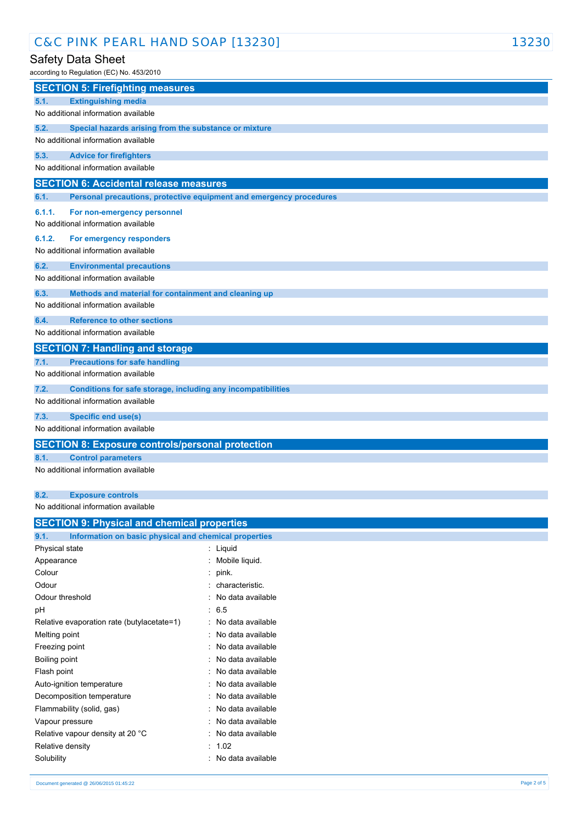# C&C PINK PEARL HAND SOAP [13230] 13230

### Safety Data Sheet

according to Regulation (EC) No. 453/2010

| according to Regulation (EC) No. 453/2010                                    |
|------------------------------------------------------------------------------|
| <b>SECTION 5: Firefighting measures</b>                                      |
| 5.1.<br><b>Extinguishing media</b>                                           |
| No additional information available                                          |
| 5.2.<br>Special hazards arising from the substance or mixture                |
| No additional information available                                          |
| 5.3.<br><b>Advice for firefighters</b>                                       |
| No additional information available                                          |
| <b>SECTION 6: Accidental release measures</b>                                |
| Personal precautions, protective equipment and emergency procedures<br>6.1.  |
| 6.1.1.<br>For non-emergency personnel<br>No additional information available |
| 6.1.2.<br>For emergency responders                                           |
| No additional information available                                          |
| 6.2.<br><b>Environmental precautions</b>                                     |
| No additional information available                                          |
| 6.3.<br>Methods and material for containment and cleaning up                 |
| No additional information available                                          |
| 6.4.<br><b>Reference to other sections</b>                                   |
| No additional information available                                          |
| <b>SECTION 7: Handling and storage</b>                                       |
| <b>Precautions for safe handling</b><br>7.1.                                 |
| No additional information available                                          |
| 7.2.<br>Conditions for safe storage, including any incompatibilities         |
| No additional information available                                          |
| 7.3.<br>Specific end use(s)                                                  |
| No additional information available                                          |
| <b>SECTION 8: Exposure controls/personal protection</b>                      |
| 8.1.<br><b>Control parameters</b>                                            |
| No additional information available                                          |
| 8.2.<br><b>Exposure controls</b>                                             |
| No additional information available                                          |
| <b>SECTION 9: Physical and chemical properties</b>                           |
| Information on basic physical and chemical properties<br>9.1.                |

| 9.1.             | Information on basic physical and chemical properties |   |                   |
|------------------|-------------------------------------------------------|---|-------------------|
| Physical state   |                                                       |   | Liquid            |
| Appearance       |                                                       |   | Mobile liquid.    |
| Colour           |                                                       |   | pink.             |
| Odour            |                                                       |   | : characteristic. |
| Odour threshold  |                                                       |   | No data available |
| рH               |                                                       |   | : 6.5             |
|                  | Relative evaporation rate (butylacetate=1)            |   | No data available |
| Melting point    |                                                       |   | No data available |
| Freezing point   |                                                       |   | No data available |
| Boiling point    |                                                       |   | No data available |
| Flash point      |                                                       |   | No data available |
|                  | Auto-ignition temperature                             |   | No data available |
|                  | Decomposition temperature                             |   | No data available |
|                  | Flammability (solid, gas)                             |   | No data available |
| Vapour pressure  |                                                       |   | No data available |
|                  | Relative vapour density at 20 °C                      |   | No data available |
| Relative density |                                                       | ٠ | 1.02              |
| Solubility       |                                                       |   | No data available |
|                  |                                                       |   |                   |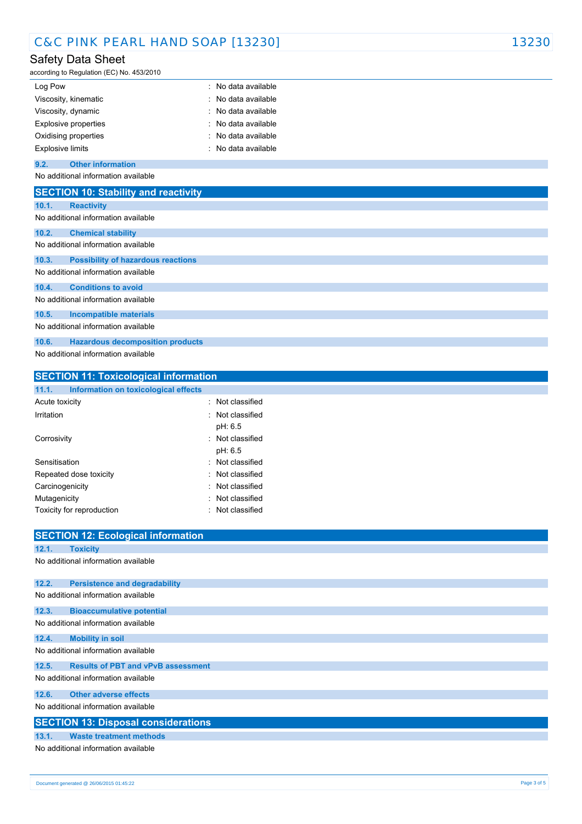| C&C PINK PEARL HAND SOAP [13230] | 13230 |
|----------------------------------|-------|
|----------------------------------|-------|

# Safety Data Sheet

according to Regulation (EC) No. 453/2010

| Log Pow                 | : No data available |
|-------------------------|---------------------|
| Viscosity, kinematic    | : No data available |
| Viscosity, dynamic      | : No data available |
| Explosive properties    | : No data available |
| Oxidising properties    | : No data available |
| <b>Explosive limits</b> | : No data available |
|                         |                     |

#### **9.2. Other information**

No additional information available

|       | <b>SECTION 10: Stability and reactivity</b> |
|-------|---------------------------------------------|
| 10.1. | <b>Reactivity</b>                           |
|       | No additional information available         |
| 10.2. | <b>Chemical stability</b>                   |
|       | No additional information available         |
| 10.3. | <b>Possibility of hazardous reactions</b>   |
|       | No additional information available         |
| 10.4. | <b>Conditions to avoid</b>                  |
|       | No additional information available         |
| 10.5. | <b>Incompatible materials</b>               |
|       | No additional information available         |
| 10.6. | <b>Hazardous decomposition products</b>     |
|       | No additional information available         |

### **SECTION 11: Toxicological information 11.1. Information on toxicological effects** Acute toxicity **in the case of the contract of the contract of the contract of the contract of the contract of the contract of the contract of the contract of the contract of the contract of the contract of the contract of** Irritation : Not classified pH: 6.5 Corrosivity **: Not classified** pH: 6.5 Sensitisation : Not classified Repeated dose toxicity **in the set of the CR** extends the Repeated dose toxicity Carcinogenicity **Carcinogenicity Carcinogenicity Carcinogenicity Carcial Carcinogenicity** Mutagenicity **in the contract of the Contract of Contract Contract of Contract Contract Contract Contract Contract Contract Contract Contract Contract Contract Contract Contract Contract Contract Contract Contract Contract**

Toxicity for reproduction **in the contract of the Contract Contract Contract Contract Contract Contract Contract Contract Contract Contract Contract Contract Contract Contract Contract Contract Contract Contract Contract C** 

|       | <b>SECTION 12: Ecological information</b>  |
|-------|--------------------------------------------|
| 12.1. | <b>Toxicity</b>                            |
|       | No additional information available        |
| 12.2. | <b>Persistence and degradability</b>       |
|       | No additional information available        |
| 12.3. | <b>Bioaccumulative potential</b>           |
|       | No additional information available        |
| 12.4. | <b>Mobility in soil</b>                    |
|       | No additional information available        |
| 12.5. | <b>Results of PBT and vPvB assessment</b>  |
|       | No additional information available        |
| 12.6. | <b>Other adverse effects</b>               |
|       | No additional information available        |
|       | <b>SECTION 13: Disposal considerations</b> |
| 13.1. | <b>Waste treatment methods</b>             |
|       | No additional information available        |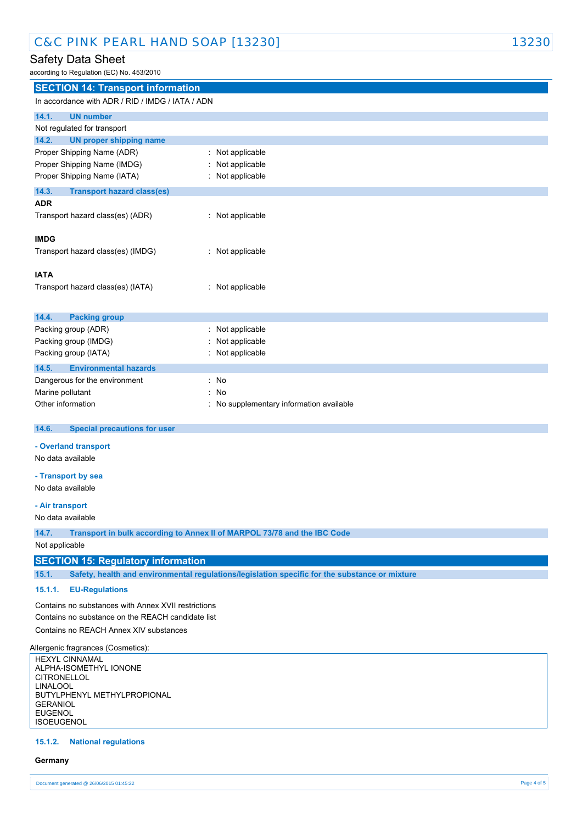| C&C PINK PEARL HAND SOAP [13230] | 13230 |
|----------------------------------|-------|
|----------------------------------|-------|

# Safety Data Sheet

according to Regulation (EC) No. 453/2010

**SECTION 14: Transport information**

|                                                                   | In accordance with ADR / RID / IMDG / IATA / ADN                                               |  |  |  |
|-------------------------------------------------------------------|------------------------------------------------------------------------------------------------|--|--|--|
| 14.1.<br><b>UN number</b>                                         |                                                                                                |  |  |  |
| Not regulated for transport                                       |                                                                                                |  |  |  |
| 14.2.<br><b>UN proper shipping name</b>                           |                                                                                                |  |  |  |
| Proper Shipping Name (ADR)                                        | : Not applicable                                                                               |  |  |  |
| Proper Shipping Name (IMDG)                                       | Not applicable                                                                                 |  |  |  |
| Proper Shipping Name (IATA)                                       | : Not applicable                                                                               |  |  |  |
| 14.3.<br><b>Transport hazard class(es)</b>                        |                                                                                                |  |  |  |
| <b>ADR</b>                                                        |                                                                                                |  |  |  |
| Transport hazard class(es) (ADR)                                  | : Not applicable                                                                               |  |  |  |
|                                                                   |                                                                                                |  |  |  |
| <b>IMDG</b>                                                       |                                                                                                |  |  |  |
| Transport hazard class(es) (IMDG)                                 | : Not applicable                                                                               |  |  |  |
| <b>IATA</b>                                                       |                                                                                                |  |  |  |
| Transport hazard class(es) (IATA)                                 | : Not applicable                                                                               |  |  |  |
|                                                                   |                                                                                                |  |  |  |
|                                                                   |                                                                                                |  |  |  |
| 14.4.<br><b>Packing group</b>                                     |                                                                                                |  |  |  |
| Packing group (ADR)                                               | : Not applicable                                                                               |  |  |  |
| Packing group (IMDG)                                              | Not applicable                                                                                 |  |  |  |
| Packing group (IATA)                                              | : Not applicable                                                                               |  |  |  |
| 14.5.<br><b>Environmental hazards</b>                             |                                                                                                |  |  |  |
| Dangerous for the environment                                     | : No                                                                                           |  |  |  |
| Marine pollutant                                                  | : No                                                                                           |  |  |  |
| Other information                                                 | : No supplementary information available                                                       |  |  |  |
|                                                                   |                                                                                                |  |  |  |
|                                                                   |                                                                                                |  |  |  |
| 14.6.<br><b>Special precautions for user</b>                      |                                                                                                |  |  |  |
| - Overland transport                                              |                                                                                                |  |  |  |
| No data available                                                 |                                                                                                |  |  |  |
|                                                                   |                                                                                                |  |  |  |
| - Transport by sea<br>No data available                           |                                                                                                |  |  |  |
|                                                                   |                                                                                                |  |  |  |
| - Air transport                                                   |                                                                                                |  |  |  |
| No data available                                                 |                                                                                                |  |  |  |
| 14.7.                                                             | Transport in bulk according to Annex II of MARPOL 73/78 and the IBC Code                       |  |  |  |
| Not applicable                                                    |                                                                                                |  |  |  |
| <b>SECTION 15: Regulatory information</b>                         |                                                                                                |  |  |  |
| 15.1.                                                             | Safety, health and environmental regulations/legislation specific for the substance or mixture |  |  |  |
| 15.1.1.<br><b>EU-Regulations</b>                                  |                                                                                                |  |  |  |
| Contains no substances with Annex XVII restrictions               |                                                                                                |  |  |  |
| Contains no substance on the REACH candidate list                 |                                                                                                |  |  |  |
| Contains no REACH Annex XIV substances                            |                                                                                                |  |  |  |
|                                                                   |                                                                                                |  |  |  |
| <b>HEXYL CINNAMAL</b>                                             |                                                                                                |  |  |  |
| ALPHA-ISOMETHYL IONONE                                            |                                                                                                |  |  |  |
| Allergenic fragrances (Cosmetics):<br><b>CITRONELLOL</b>          |                                                                                                |  |  |  |
| <b>LINALOOL</b><br>BUTYLPHENYL METHYLPROPIONAL<br><b>GERANIOL</b> |                                                                                                |  |  |  |

### **15.1.2. National regulations**

#### **Germany**

ISOEUGENOL